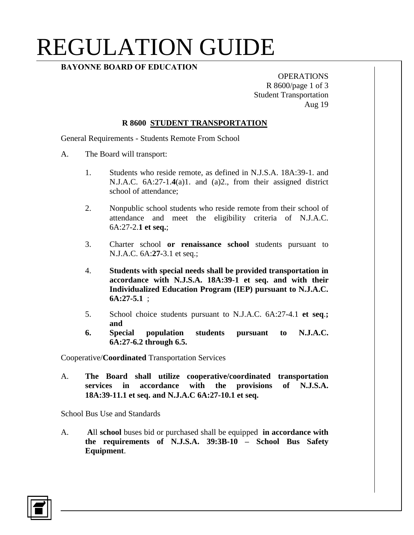## REGULATION GUIDE

### **BAYONNE BOARD OF EDUCATION**

OPERATIONS R 8600/page 1 of 3 Student Transportation Aug 19

#### **R 8600 STUDENT TRANSPORTATION**

General Requirements - Students Remote From School

- A. The Board will transport:
	- 1. Students who reside remote, as defined in N.J.S.A. 18A:39-1. and N.J.A.C. 6A:27-1.**4**(a)1. and (a)2., from their assigned district school of attendance;
	- 2. Nonpublic school students who reside remote from their school of attendance and meet the eligibility criteria of N.J.A.C. 6A:27-2.**1 et seq.**;
	- 3. Charter school **or renaissance school** students pursuant to N.J.A.C. 6A:**27-**3.1 et seq.;
	- 4. **Students with special needs shall be provided transportation in accordance with N.J.S.A. 18A:39-1 et seq. and with their Individualized Education Program (IEP) pursuant to N.J.A.C. 6A:27-5.1** ;
	- 5. School choice students pursuant to N.J.A.C. 6A:27-4.1 **et seq**.**; and**
	- **6. Special population students pursuant to N.J.A.C. 6A:27-6.2 through 6.5.**

Cooperative/**Coordinated** Transportation Services

A. **The Board shall utilize cooperative/coordinated transportation services in accordance with the provisions of N.J.S.A. 18A:39-11.1 et seq. and N.J.A.C 6A:27-10.1 et seq.**

School Bus Use and Standards

A. **A**ll **school** buses bid or purchased shall be equipped **in accordance with the requirements of N.J.S.A. 39:3B-10 – School Bus Safety Equipment**.

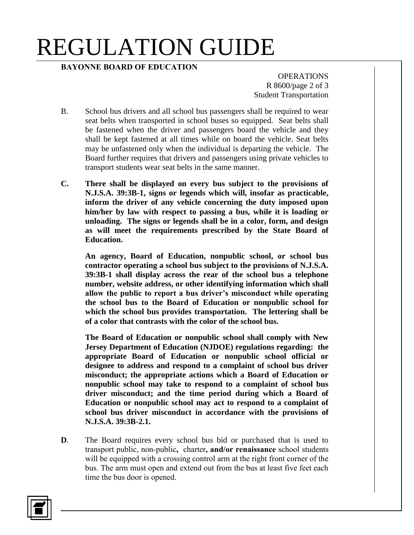# REGULATION GUIDE

#### **BAYONNE BOARD OF EDUCATION**

**OPERATIONS** R 8600/page 2 of 3 Student Transportation

- B. School bus drivers and all school bus passengers shall be required to wear seat belts when transported in school buses so equipped. Seat belts shall be fastened when the driver and passengers board the vehicle and they shall be kept fastened at all times while on board the vehicle. Seat belts may be unfastened only when the individual is departing the vehicle. The Board further requires that drivers and passengers using private vehicles to transport students wear seat belts in the same manner.
- **C. There shall be displayed on every bus subject to the provisions of N.J.S.A. 39:3B-1, signs or legends which will, insofar as practicable, inform the driver of any vehicle concerning the duty imposed upon him/her by law with respect to passing a bus, while it is loading or unloading. The signs or legends shall be in a color, form, and design as will meet the requirements prescribed by the State Board of Education.**

**An agency, Board of Education, nonpublic school, or school bus contractor operating a school bus subject to the provisions of N.J.S.A. 39:3B-1 shall display across the rear of the school bus a telephone number, website address, or other identifying information which shall allow the public to report a bus driver's misconduct while operating the school bus to the Board of Education or nonpublic school for which the school bus provides transportation. The lettering shall be of a color that contrasts with the color of the school bus.**

**The Board of Education or nonpublic school shall comply with New Jersey Department of Education (NJDOE) regulations regarding: the appropriate Board of Education or nonpublic school official or designee to address and respond to a complaint of school bus driver misconduct; the appropriate actions which a Board of Education or nonpublic school may take to respond to a complaint of school bus driver misconduct; and the time period during which a Board of Education or nonpublic school may act to respond to a complaint of school bus driver misconduct in accordance with the provisions of N.J.S.A. 39:3B-2.1.**

**D**. The Board requires every school bus bid or purchased that is used to transport public, non-public**,** charter**, and/or renaissance** school students will be equipped with a crossing control arm at the right front corner of the bus. The arm must open and extend out from the bus at least five feet each time the bus door is opened.